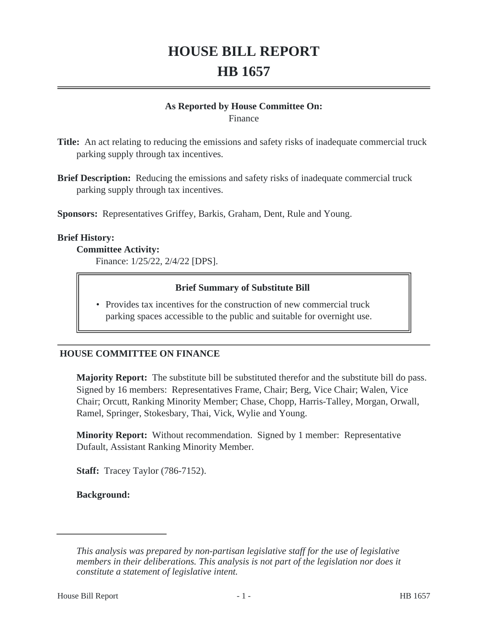# **HOUSE BILL REPORT HB 1657**

#### **As Reported by House Committee On:** Finance

**Title:** An act relating to reducing the emissions and safety risks of inadequate commercial truck parking supply through tax incentives.

**Brief Description:** Reducing the emissions and safety risks of inadequate commercial truck parking supply through tax incentives.

**Sponsors:** Representatives Griffey, Barkis, Graham, Dent, Rule and Young.

#### **Brief History:**

**Committee Activity:** Finance: 1/25/22, 2/4/22 [DPS].

#### **Brief Summary of Substitute Bill**

• Provides tax incentives for the construction of new commercial truck parking spaces accessible to the public and suitable for overnight use.

### **HOUSE COMMITTEE ON FINANCE**

**Majority Report:** The substitute bill be substituted therefor and the substitute bill do pass. Signed by 16 members: Representatives Frame, Chair; Berg, Vice Chair; Walen, Vice Chair; Orcutt, Ranking Minority Member; Chase, Chopp, Harris-Talley, Morgan, Orwall, Ramel, Springer, Stokesbary, Thai, Vick, Wylie and Young.

**Minority Report:** Without recommendation. Signed by 1 member: Representative Dufault, Assistant Ranking Minority Member.

**Staff:** Tracey Taylor (786-7152).

**Background:**

*This analysis was prepared by non-partisan legislative staff for the use of legislative members in their deliberations. This analysis is not part of the legislation nor does it constitute a statement of legislative intent.*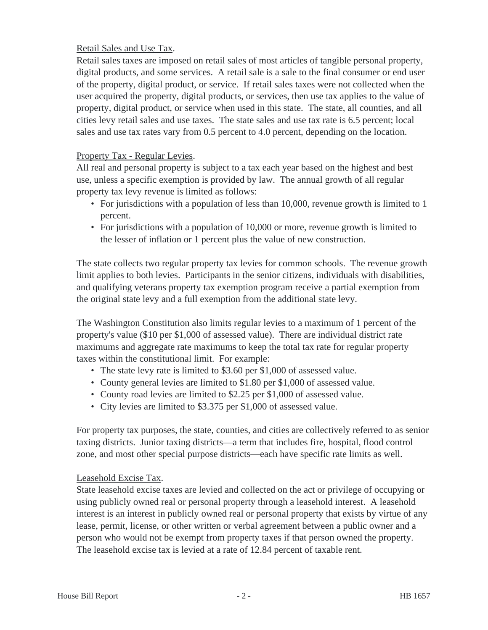# Retail Sales and Use Tax.

Retail sales taxes are imposed on retail sales of most articles of tangible personal property, digital products, and some services. A retail sale is a sale to the final consumer or end user of the property, digital product, or service. If retail sales taxes were not collected when the user acquired the property, digital products, or services, then use tax applies to the value of property, digital product, or service when used in this state. The state, all counties, and all cities levy retail sales and use taxes. The state sales and use tax rate is 6.5 percent; local sales and use tax rates vary from 0.5 percent to 4.0 percent, depending on the location.

### Property Tax - Regular Levies.

All real and personal property is subject to a tax each year based on the highest and best use, unless a specific exemption is provided by law. The annual growth of all regular property tax levy revenue is limited as follows:

- For jurisdictions with a population of less than 10,000, revenue growth is limited to 1 percent.
- For jurisdictions with a population of 10,000 or more, revenue growth is limited to the lesser of inflation or 1 percent plus the value of new construction.

The state collects two regular property tax levies for common schools. The revenue growth limit applies to both levies. Participants in the senior citizens, individuals with disabilities, and qualifying veterans property tax exemption program receive a partial exemption from the original state levy and a full exemption from the additional state levy.

The Washington Constitution also limits regular levies to a maximum of 1 percent of the property's value (\$10 per \$1,000 of assessed value). There are individual district rate maximums and aggregate rate maximums to keep the total tax rate for regular property taxes within the constitutional limit. For example:

- The state levy rate is limited to \$3.60 per \$1,000 of assessed value.
- County general levies are limited to \$1.80 per \$1,000 of assessed value.
- County road levies are limited to \$2.25 per \$1,000 of assessed value.
- City levies are limited to \$3.375 per \$1,000 of assessed value.

For property tax purposes, the state, counties, and cities are collectively referred to as senior taxing districts. Junior taxing districts—a term that includes fire, hospital, flood control zone, and most other special purpose districts—each have specific rate limits as well.

### Leasehold Excise Tax.

State leasehold excise taxes are levied and collected on the act or privilege of occupying or using publicly owned real or personal property through a leasehold interest. A leasehold interest is an interest in publicly owned real or personal property that exists by virtue of any lease, permit, license, or other written or verbal agreement between a public owner and a person who would not be exempt from property taxes if that person owned the property. The leasehold excise tax is levied at a rate of 12.84 percent of taxable rent.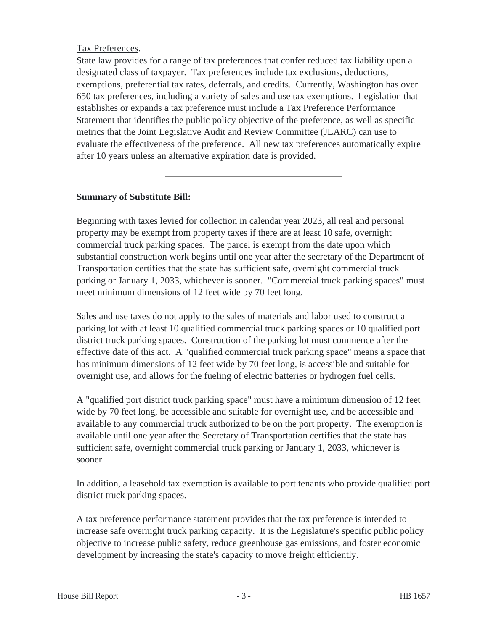## Tax Preferences.

State law provides for a range of tax preferences that confer reduced tax liability upon a designated class of taxpayer. Tax preferences include tax exclusions, deductions, exemptions, preferential tax rates, deferrals, and credits. Currently, Washington has over 650 tax preferences, including a variety of sales and use tax exemptions. Legislation that establishes or expands a tax preference must include a Tax Preference Performance Statement that identifies the public policy objective of the preference, as well as specific metrics that the Joint Legislative Audit and Review Committee (JLARC) can use to evaluate the effectiveness of the preference. All new tax preferences automatically expire after 10 years unless an alternative expiration date is provided.

# **Summary of Substitute Bill:**

Beginning with taxes levied for collection in calendar year 2023, all real and personal property may be exempt from property taxes if there are at least 10 safe, overnight commercial truck parking spaces. The parcel is exempt from the date upon which substantial construction work begins until one year after the secretary of the Department of Transportation certifies that the state has sufficient safe, overnight commercial truck parking or January 1, 2033, whichever is sooner. "Commercial truck parking spaces" must meet minimum dimensions of 12 feet wide by 70 feet long.

Sales and use taxes do not apply to the sales of materials and labor used to construct a parking lot with at least 10 qualified commercial truck parking spaces or 10 qualified port district truck parking spaces. Construction of the parking lot must commence after the effective date of this act. A "qualified commercial truck parking space" means a space that has minimum dimensions of 12 feet wide by 70 feet long, is accessible and suitable for overnight use, and allows for the fueling of electric batteries or hydrogen fuel cells.

A "qualified port district truck parking space" must have a minimum dimension of 12 feet wide by 70 feet long, be accessible and suitable for overnight use, and be accessible and available to any commercial truck authorized to be on the port property. The exemption is available until one year after the Secretary of Transportation certifies that the state has sufficient safe, overnight commercial truck parking or January 1, 2033, whichever is sooner.

In addition, a leasehold tax exemption is available to port tenants who provide qualified port district truck parking spaces.

A tax preference performance statement provides that the tax preference is intended to increase safe overnight truck parking capacity. It is the Legislature's specific public policy objective to increase public safety, reduce greenhouse gas emissions, and foster economic development by increasing the state's capacity to move freight efficiently.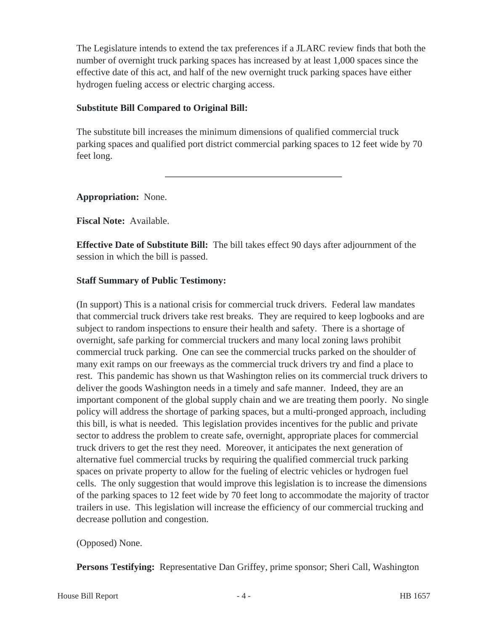The Legislature intends to extend the tax preferences if a JLARC review finds that both the number of overnight truck parking spaces has increased by at least 1,000 spaces since the effective date of this act, and half of the new overnight truck parking spaces have either hydrogen fueling access or electric charging access.

## **Substitute Bill Compared to Original Bill:**

The substitute bill increases the minimum dimensions of qualified commercial truck parking spaces and qualified port district commercial parking spaces to 12 feet wide by 70 feet long.

**Appropriation:** None.

**Fiscal Note:** Available.

**Effective Date of Substitute Bill:** The bill takes effect 90 days after adjournment of the session in which the bill is passed.

# **Staff Summary of Public Testimony:**

(In support) This is a national crisis for commercial truck drivers. Federal law mandates that commercial truck drivers take rest breaks. They are required to keep logbooks and are subject to random inspections to ensure their health and safety. There is a shortage of overnight, safe parking for commercial truckers and many local zoning laws prohibit commercial truck parking. One can see the commercial trucks parked on the shoulder of many exit ramps on our freeways as the commercial truck drivers try and find a place to rest. This pandemic has shown us that Washington relies on its commercial truck drivers to deliver the goods Washington needs in a timely and safe manner. Indeed, they are an important component of the global supply chain and we are treating them poorly. No single policy will address the shortage of parking spaces, but a multi-pronged approach, including this bill, is what is needed. This legislation provides incentives for the public and private sector to address the problem to create safe, overnight, appropriate places for commercial truck drivers to get the rest they need. Moreover, it anticipates the next generation of alternative fuel commercial trucks by requiring the qualified commercial truck parking spaces on private property to allow for the fueling of electric vehicles or hydrogen fuel cells. The only suggestion that would improve this legislation is to increase the dimensions of the parking spaces to 12 feet wide by 70 feet long to accommodate the majority of tractor trailers in use. This legislation will increase the efficiency of our commercial trucking and decrease pollution and congestion.

### (Opposed) None.

**Persons Testifying:** Representative Dan Griffey, prime sponsor; Sheri Call, Washington